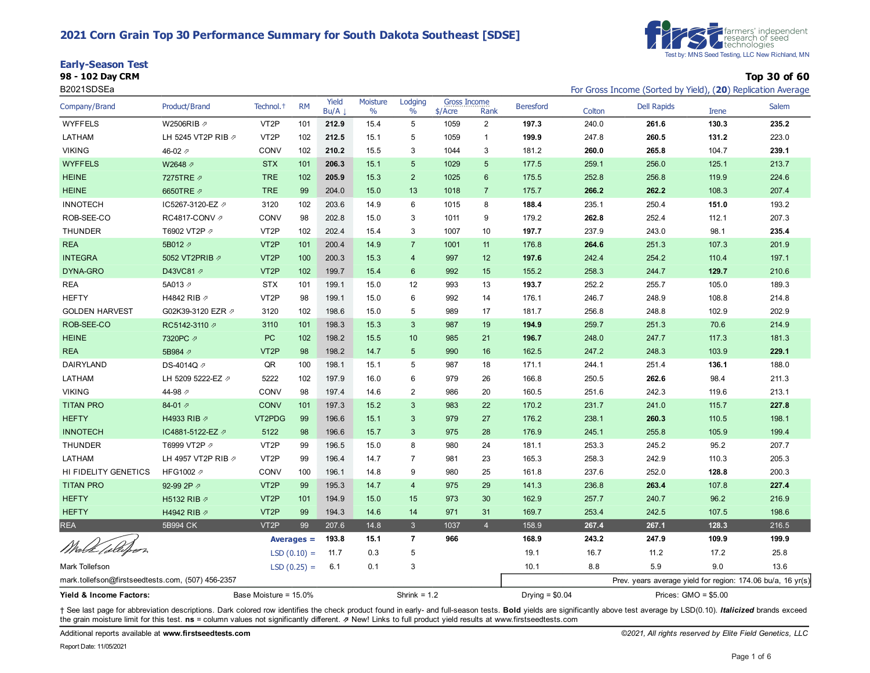### **2021 Corn Grain Top 30 Performance Summary for South Dakota Southeast [SDSE]**

|  | <b>Early-Season Test</b> |  |
|--|--------------------------|--|
|  |                          |  |



**98 - 102 Day CRM Top 30 of 60**

| B2021SDSEa                                        |                     |                       |               |               |                  |                 |                                  |                |                  |        | For Gross Income (Sorted by Yield), (20) Replication Average |                       |              |
|---------------------------------------------------|---------------------|-----------------------|---------------|---------------|------------------|-----------------|----------------------------------|----------------|------------------|--------|--------------------------------------------------------------|-----------------------|--------------|
| Company/Brand                                     | Product/Brand       | Technol. <sup>+</sup> | <b>RM</b>     | Yield<br>Bu/A | Moisture<br>$\%$ | Lodging<br>$\%$ | <b>Gross Income</b><br>$$/$ Acre | Rank           | <b>Beresford</b> | Colton | <b>Dell Rapids</b>                                           | <b>Irene</b>          | <b>Salem</b> |
| <b>WYFFELS</b>                                    | W2506RIB 2          | VT <sub>2</sub> P     | 101           | 212.9         | 15.4             | 5               | 1059                             | $\overline{2}$ | 197.3            | 240.0  | 261.6                                                        | 130.3                 | 235.2        |
| LATHAM                                            | LH 5245 VT2P RIB 2  | VT <sub>2</sub> P     | 102           | 212.5         | 15.1             | 5               | 1059                             | $\mathbf{1}$   | 199.9            | 247.8  | 260.5                                                        | 131.2                 | 223.0        |
| <b>VIKING</b>                                     | 46-02 $\n $         | CONV                  | 102           | 210.2         | 15.5             | 3               | 1044                             | 3              | 181.2            | 260.0  | 265.8                                                        | 104.7                 | 239.1        |
| <b>WYFFELS</b>                                    | W2648 2             | <b>STX</b>            | 101           | 206.3         | 15.1             | 5               | 1029                             | 5              | 177.5            | 259.1  | 256.0                                                        | 125.1                 | 213.7        |
| <b>HEINE</b>                                      | 7275TRE 2           | <b>TRE</b>            | 102           | 205.9         | 15.3             | $\overline{2}$  | 1025                             | 6              | 175.5            | 252.8  | 256.8                                                        | 119.9                 | 224.6        |
| <b>HEINE</b>                                      | 6650TRE 2           | <b>TRE</b>            | 99            | 204.0         | 15.0             | 13              | 1018                             | $\overline{7}$ | 175.7            | 266.2  | 262.2                                                        | 108.3                 | 207.4        |
| <b>INNOTECH</b>                                   | IC5267-3120-EZ 2    | 3120                  | 102           | 203.6         | 14.9             | 6               | 1015                             | 8              | 188.4            | 235.1  | 250.4                                                        | 151.0                 | 193.2        |
| ROB-SEE-CO                                        | RC4817-CONV 2       | CONV                  | 98            | 202.8         | 15.0             | 3               | 1011                             | 9              | 179.2            | 262.8  | 252.4                                                        | 112.1                 | 207.3        |
| <b>THUNDER</b>                                    | T6902 VT2P 2        | VT <sub>2</sub> P     | 102           | 202.4         | 15.4             | 3               | 1007                             | 10             | 197.7            | 237.9  | 243.0                                                        | 98.1                  | 235.4        |
| <b>REA</b>                                        | 5B012 2             | VT <sub>2</sub> P     | 101           | 200.4         | 14.9             | $\overline{7}$  | 1001                             | 11             | 176.8            | 264.6  | 251.3                                                        | 107.3                 | 201.9        |
| <b>INTEGRA</b>                                    | 5052 VT2PRIB 2      | VT <sub>2</sub> P     | 100           | 200.3         | 15.3             | 4               | 997                              | 12             | 197.6            | 242.4  | 254.2                                                        | 110.4                 | 197.1        |
| DYNA-GRO                                          | D43VC81 2           | VT <sub>2</sub> P     | 102           | 199.7         | 15.4             | 6               | 992                              | 15             | 155.2            | 258.3  | 244.7                                                        | 129.7                 | 210.6        |
| <b>REA</b>                                        | 5A013 A             | <b>STX</b>            | 101           | 199.1         | 15.0             | 12              | 993                              | 13             | 193.7            | 252.2  | 255.7                                                        | 105.0                 | 189.3        |
| <b>HEFTY</b>                                      | H4842 RIB 2         | VT <sub>2</sub> P     | 98            | 199.1         | 15.0             | 6               | 992                              | 14             | 176.1            | 246.7  | 248.9                                                        | 108.8                 | 214.8        |
| <b>GOLDEN HARVEST</b>                             | G02K39-3120 EZR 2   | 3120                  | 102           | 198.6         | 15.0             | 5               | 989                              | 17             | 181.7            | 256.8  | 248.8                                                        | 102.9                 | 202.9        |
| ROB-SEE-CO                                        | RC5142-3110 7       | 3110                  | 101           | 198.3         | 15.3             | $\mathbf{3}$    | 987                              | 19             | 194.9            | 259.7  | 251.3                                                        | 70.6                  | 214.9        |
| <b>HEINE</b>                                      | 7320PC 2            | PC                    | 102           | 198.2         | 15.5             | 10              | 985                              | 21             | 196.7            | 248.0  | 247.7                                                        | 117.3                 | 181.3        |
| <b>REA</b>                                        | 5B984 2             | VT <sub>2</sub> P     | 98            | 198.2         | 14.7             | $5\phantom{1}$  | 990                              | 16             | 162.5            | 247.2  | 248.3                                                        | 103.9                 | 229.1        |
| DAIRYLAND                                         | DS-4014Q /          | QR                    | 100           | 198.1         | 15.1             | 5               | 987                              | 18             | 171.1            | 244.1  | 251.4                                                        | 136.1                 | 188.0        |
| LATHAM                                            | LH 5209 5222-EZ 2   | 5222                  | 102           | 197.9         | 16.0             | 6               | 979                              | 26             | 166.8            | 250.5  | 262.6                                                        | 98.4                  | 211.3        |
| <b>VIKING</b>                                     | 44-98 $\varnothing$ | CONV                  | 98            | 197.4         | 14.6             | $\mathbf{2}$    | 986                              | 20             | 160.5            | 251.6  | 242.3                                                        | 119.6                 | 213.1        |
| <b>TITAN PRO</b>                                  | 84-01 $\n  7\n$     | <b>CONV</b>           | 101           | 197.3         | 15.2             | 3               | 983                              | 22             | 170.2            | 231.7  | 241.0                                                        | 115.7                 | 227.8        |
| <b>HEFTY</b>                                      | H4933 RIB 7         | VT2PDG                | 99            | 196.6         | 15.1             | 3               | 979                              | 27             | 176.2            | 238.1  | 260.3                                                        | 110.5                 | 198.1        |
| <b>INNOTECH</b>                                   | IC4881-5122-EZ ク    | 5122                  | 98            | 196.6         | 15.7             | 3               | 975                              | 28             | 176.9            | 245.1  | 255.8                                                        | 105.9                 | 199.4        |
| <b>THUNDER</b>                                    | T6999 VT2P 2        | VT <sub>2</sub> P     | 99            | 196.5         | 15.0             | 8               | 980                              | 24             | 181.1            | 253.3  | 245.2                                                        | 95.2                  | 207.7        |
| LATHAM                                            | LH 4957 VT2P RIB 2  | VT <sub>2</sub> P     | 99            | 196.4         | 14.7             | $\overline{7}$  | 981                              | 23             | 165.3            | 258.3  | 242.9                                                        | 110.3                 | 205.3        |
| HI FIDELITY GENETICS                              | HFG1002 2           | CONV                  | 100           | 196.1         | 14.8             | 9               | 980                              | 25             | 161.8            | 237.6  | 252.0                                                        | 128.8                 | 200.3        |
| <b>TITAN PRO</b>                                  | 92-99 2P 2          | VT <sub>2</sub> P     | 99            | 195.3         | 14.7             | $\overline{4}$  | 975                              | 29             | 141.3            | 236.8  | 263.4                                                        | 107.8                 | 227.4        |
| <b>HEFTY</b>                                      | H5132 RIB 2         | VT <sub>2</sub> P     | 101           | 194.9         | 15.0             | 15              | 973                              | 30             | 162.9            | 257.7  | 240.7                                                        | 96.2                  | 216.9        |
| <b>HEFTY</b>                                      | H4942 RIB 2         | VT <sub>2</sub> P     | 99            | 194.3         | 14.6             | 14              | 971                              | 31             | 169.7            | 253.4  | 242.5                                                        | 107.5                 | 198.6        |
| <b>REA</b>                                        | 5B994 CK            | VT <sub>2</sub> P     | 99            | 207.6         | 14.8             | $\mathbf{3}$    | 1037                             | $\overline{4}$ | 158.9            | 267.4  | 267.1                                                        | 128.3                 | 216.5        |
| Wird & Collegen                                   |                     |                       | $Averages =$  | 193.8         | 15.1             | $\overline{7}$  | 966                              |                | 168.9            | 243.2  | 247.9                                                        | 109.9                 | 199.9        |
|                                                   |                     |                       | $LSD(0.10) =$ | 11.7          | 0.3              | 5               |                                  |                | 19.1             | 16.7   | 11.2                                                         | 17.2                  | 25.8         |
| <b>Mark Tollefson</b>                             |                     |                       | $LSD(0.25) =$ | 6.1           | 0.1              | 3               |                                  |                | 10.1             | 8.8    | 5.9                                                          | 9.0                   | 13.6         |
| mark.tollefson@firstseedtests.com, (507) 456-2357 |                     |                       |               |               |                  |                 |                                  |                |                  |        | Prev. years average yield for region: 174.06 bu/a, 16 yr(s)  |                       |              |
| Yield & Income Factors:                           |                     | Base Moisture = 15.0% |               |               |                  | Shrink = $1.2$  |                                  |                | Drying = $$0.04$ |        |                                                              | Prices: $GMO = $5.00$ |              |

+ See last page for abbreviation descriptions. Dark colored row identifies the check product found in early- and full-season tests. Bold yields are significantly above test average by LSD(0.10). Italicized brands exceed the grain moisture limit for this test. **ns** = column values not significantly different. ⇗ New! Links to full product yield results at www.firstseedtests.com

Additional reports available at **[www.firstseedtests.com](https://www.firstseedtests.com)** *©2021, All rights reserved by Elite Field Genetics, LLC*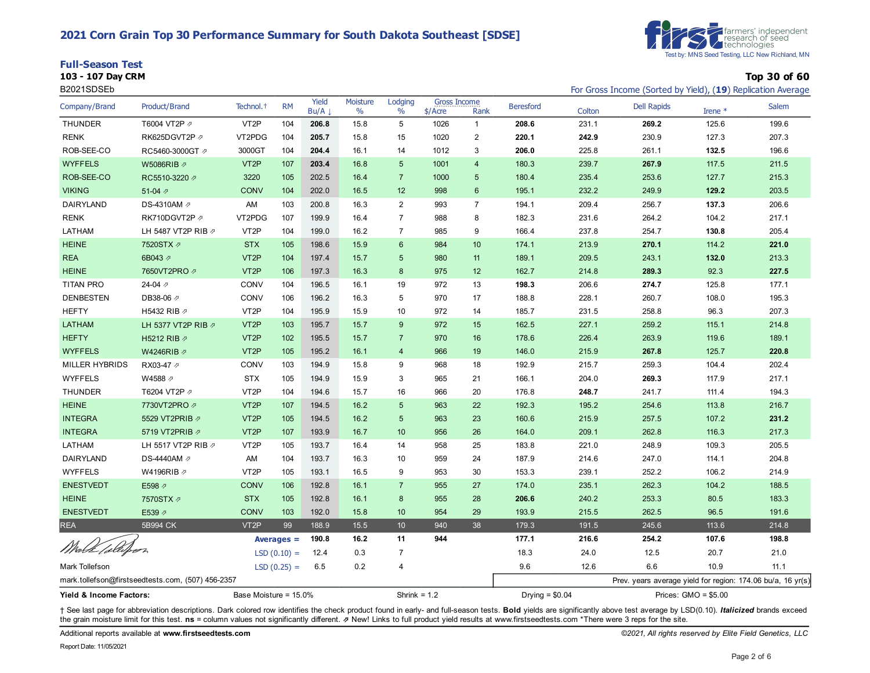### **2021 Corn Grain Top 30 Performance Summary for South Dakota Southeast [SDSE]**

| <b>Full-Season Test</b> |           |
|-------------------------|-----------|
|                         | $- - - -$ |



**103 - 107 Day CRM Top 30 of 60**

| B2021SDSEb              |                                                   |                       |               |               |                  |                 |                                  |                |                  |        | For Gross Income (Sorted by Yield), (19) Replication Average |                       |              |
|-------------------------|---------------------------------------------------|-----------------------|---------------|---------------|------------------|-----------------|----------------------------------|----------------|------------------|--------|--------------------------------------------------------------|-----------------------|--------------|
| Company/Brand           | Product/Brand                                     | Technol. <sup>+</sup> | <b>RM</b>     | Yield<br>Bu/A | Moisture<br>$\%$ | Lodging<br>$\%$ | <b>Gross Income</b><br>$$/$ Acre | Rank           | <b>Beresford</b> | Colton | <b>Dell Rapids</b>                                           | Irene *               | <b>Salem</b> |
| <b>THUNDER</b>          | T6004 VT2P 2                                      | VT <sub>2</sub> P     | 104           | 206.8         | 15.8             | 5               | 1026                             | $\mathbf{1}$   | 208.6            | 231.1  | 269.2                                                        | 125.6                 | 199.6        |
| <b>RENK</b>             | RK625DGVT2P 2                                     | VT2PDG                | 104           | 205.7         | 15.8             | 15              | 1020                             | $\overline{2}$ | 220.1            | 242.9  | 230.9                                                        | 127.3                 | 207.3        |
| ROB-SEE-CO              | RC5460-3000GT 2                                   | 3000GT                | 104           | 204.4         | 16.1             | 14              | 1012                             | 3              | 206.0            | 225.8  | 261.1                                                        | 132.5                 | 196.6        |
| <b>WYFFELS</b>          | W5086RIB Ø                                        | VT <sub>2</sub> P     | 107           | 203.4         | 16.8             | 5               | 1001                             | $\overline{4}$ | 180.3            | 239.7  | 267.9                                                        | 117.5                 | 211.5        |
| ROB-SEE-CO              | RC5510-3220 2                                     | 3220                  | 105           | 202.5         | 16.4             | $\overline{7}$  | 1000                             | 5              | 180.4            | 235.4  | 253.6                                                        | 127.7                 | 215.3        |
| <b>VIKING</b>           | 51-04 $\not$                                      | <b>CONV</b>           | 104           | 202.0         | 16.5             | 12              | 998                              | 6              | 195.1            | 232.2  | 249.9                                                        | 129.2                 | 203.5        |
| DAIRYLAND               | DS-4310AM 2                                       | AM                    | 103           | 200.8         | 16.3             | $\overline{2}$  | 993                              | $\overline{7}$ | 194.1            | 209.4  | 256.7                                                        | 137.3                 | 206.6        |
| <b>RENK</b>             | RK710DGVT2P                                       | VT2PDG                | 107           | 199.9         | 16.4             | $\overline{7}$  | 988                              | 8              | 182.3            | 231.6  | 264.2                                                        | 104.2                 | 217.1        |
| LATHAM                  | LH 5487 VT2P RIB 2                                | VT <sub>2</sub> P     | 104           | 199.0         | 16.2             | $\overline{7}$  | 985                              | 9              | 166.4            | 237.8  | 254.7                                                        | 130.8                 | 205.4        |
| <b>HEINE</b>            | 7520STX 2                                         | <b>STX</b>            | 105           | 198.6         | 15.9             | 6               | 984                              | 10             | 174.1            | 213.9  | 270.1                                                        | 114.2                 | 221.0        |
| <b>REA</b>              | 6B043 2                                           | VT <sub>2</sub> P     | 104           | 197.4         | 15.7             | 5               | 980                              | 11             | 189.1            | 209.5  | 243.1                                                        | 132.0                 | 213.3        |
| <b>HEINE</b>            | 7650VT2PRO 2                                      | VT <sub>2</sub> P     | 106           | 197.3         | 16.3             | 8               | 975                              | 12             | 162.7            | 214.8  | 289.3                                                        | 92.3                  | 227.5        |
| <b>TITAN PRO</b>        | 24-04 $\n $                                       | CONV                  | 104           | 196.5         | 16.1             | 19              | 972                              | 13             | 198.3            | 206.6  | 274.7                                                        | 125.8                 | 177.1        |
| <b>DENBESTEN</b>        | DB38-06 2                                         | CONV                  | 106           | 196.2         | 16.3             | 5               | 970                              | 17             | 188.8            | 228.1  | 260.7                                                        | 108.0                 | 195.3        |
| <b>HEFTY</b>            | H5432 RIB A                                       | VT <sub>2</sub> P     | 104           | 195.9         | 15.9             | 10              | 972                              | 14             | 185.7            | 231.5  | 258.8                                                        | 96.3                  | 207.3        |
| <b>LATHAM</b>           | LH 5377 VT2P RIB 2                                | VT <sub>2</sub> P     | 103           | 195.7         | 15.7             | 9               | 972                              | 15             | 162.5            | 227.1  | 259.2                                                        | 115.1                 | 214.8        |
| <b>HEFTY</b>            | H5212 RIB 2                                       | VT <sub>2</sub> P     | 102           | 195.5         | 15.7             | $\overline{7}$  | 970                              | 16             | 178.6            | 226.4  | 263.9                                                        | 119.6                 | 189.1        |
| <b>WYFFELS</b>          | W4246RIB Ø                                        | VT <sub>2P</sub>      | 105           | 195.2         | 16.1             | $\overline{4}$  | 966                              | 19             | 146.0            | 215.9  | 267.8                                                        | 125.7                 | 220.8        |
| MILLER HYBRIDS          | RX03-47 2                                         | CONV                  | 103           | 194.9         | 15.8             | 9               | 968                              | 18             | 192.9            | 215.7  | 259.3                                                        | 104.4                 | 202.4        |
| <b>WYFFELS</b>          | W4588 2                                           | <b>STX</b>            | 105           | 194.9         | 15.9             | 3               | 965                              | 21             | 166.1            | 204.0  | 269.3                                                        | 117.9                 | 217.1        |
| THUNDER                 | T6204 VT2P 2                                      | VT <sub>2</sub> P     | 104           | 194.6         | 15.7             | 16              | 966                              | 20             | 176.8            | 248.7  | 241.7                                                        | 111.4                 | 194.3        |
| <b>HEINE</b>            | 7730VT2PRO 2                                      | VT <sub>2P</sub>      | 107           | 194.5         | 16.2             | 5               | 963                              | 22             | 192.3            | 195.2  | 254.6                                                        | 113.8                 | 216.7        |
| <b>INTEGRA</b>          | 5529 VT2PRIB 2                                    | VT <sub>2</sub> P     | 105           | 194.5         | 16.2             | 5               | 963                              | 23             | 160.6            | 215.9  | 257.5                                                        | 107.2                 | 231.2        |
| <b>INTEGRA</b>          | 5719 VT2PRIB 2                                    | VT <sub>2P</sub>      | 107           | 193.9         | 16.7             | 10              | 956                              | 26             | 164.0            | 209.1  | 262.8                                                        | 116.3                 | 217.3        |
| LATHAM                  | LH 5517 VT2P RIB 2                                | VT <sub>2</sub> P     | 105           | 193.7         | 16.4             | 14              | 958                              | 25             | 183.8            | 221.0  | 248.9                                                        | 109.3                 | 205.5        |
| DAIRYLAND               | DS-4440AM 2                                       | AM                    | 104           | 193.7         | 16.3             | 10              | 959                              | 24             | 187.9            | 214.6  | 247.0                                                        | 114.1                 | 204.8        |
| <b>WYFFELS</b>          | W4196RIB 2                                        | VT <sub>2</sub> P     | 105           | 193.1         | 16.5             | 9               | 953                              | 30             | 153.3            | 239.1  | 252.2                                                        | 106.2                 | 214.9        |
| <b>ENESTVEDT</b>        | E598 2                                            | <b>CONV</b>           | 106           | 192.8         | 16.1             | $\overline{7}$  | 955                              | 27             | 174.0            | 235.1  | 262.3                                                        | 104.2                 | 188.5        |
| <b>HEINE</b>            | 7570STX 2                                         | <b>STX</b>            | 105           | 192.8         | 16.1             | 8               | 955                              | 28             | 206.6            | 240.2  | 253.3                                                        | 80.5                  | 183.3        |
| <b>ENESTVEDT</b>        | E539 2                                            | <b>CONV</b>           | 103           | 192.0         | 15.8             | 10              | 954                              | 29             | 193.9            | 215.5  | 262.5                                                        | 96.5                  | 191.6        |
| <b>REA</b>              | 5B994 CK                                          | VT <sub>2</sub> P     | 99            | 188.9         | 15.5             | 10 <sup>°</sup> | 940                              | 38             | 179.3            | 191.5  | 245.6                                                        | 113.6                 | 214.8        |
|                         |                                                   | Averages $=$          |               | 190.8         | 16.2             | 11              | 944                              |                | 177.1            | 216.6  | 254.2                                                        | 107.6                 | 198.8        |
| Wirk Collifier          |                                                   |                       | $LSD(0.10) =$ | 12.4          | 0.3              | $\overline{7}$  |                                  |                | 18.3             | 24.0   | 12.5                                                         | 20.7                  | 21.0         |
| <b>Mark Tollefson</b>   |                                                   |                       | $LSD(0.25) =$ | 6.5           | 0.2              | 4               |                                  |                | 9.6              | 12.6   | 6.6                                                          | 10.9                  | 11.1         |
|                         | mark.tollefson@firstseedtests.com, (507) 456-2357 |                       |               |               |                  |                 |                                  |                |                  |        | Prev. years average yield for region: 174.06 bu/a, 16 yr(s)  |                       |              |
| Yield & Income Factors: |                                                   | Base Moisture = 15.0% |               |               |                  | Shrink = $1.2$  |                                  |                | Drying = $$0.04$ |        |                                                              | Prices: $GMO = $5.00$ |              |

+ See last page for abbreviation descriptions. Dark colored row identifies the check product found in early- and full-season tests. Bold yields are significantly above test average by LSD(0.10). Italicized brands exceed the grain moisture limit for this test. **ns** = column values not significantly different. ⇗ New! Links to full product yield results at www.firstseedtests.com \*There were 3 reps for the site.

Additional reports available at **[www.firstseedtests.com](https://www.firstseedtests.com)** *©2021, All rights reserved by Elite Field Genetics, LLC* 

Report Date: 11/05/2021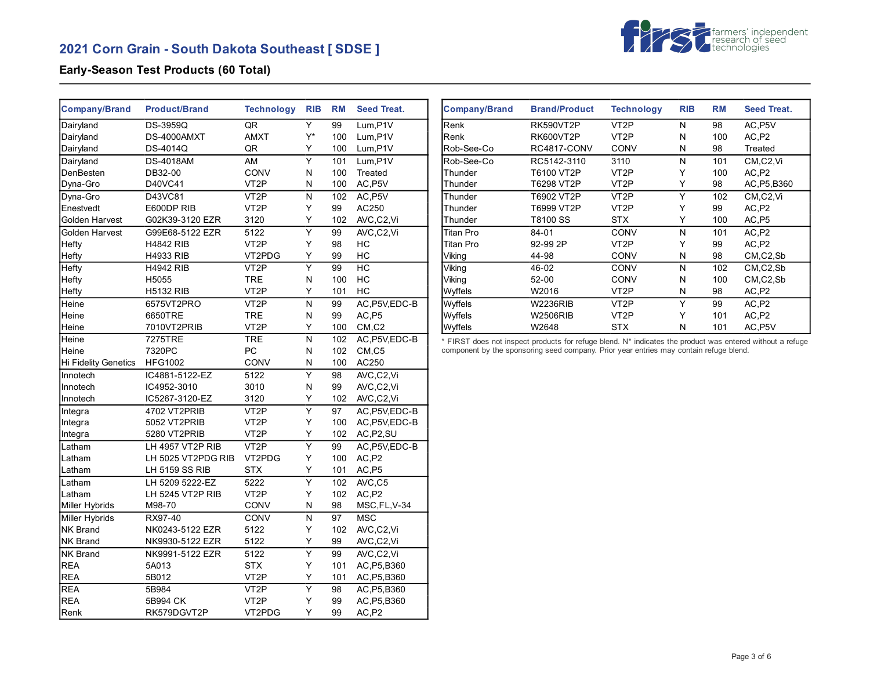# **2021 Corn Grain - South Dakota Southeast [ SDSE ]**



## **Early-Season Test Products (60 Total)**

| <b>Company/Brand</b>        | <b>Product/Brand</b> | <b>Technology</b> | <b>RIB</b>              | <b>RM</b> | <b>Seed Treat.</b> |
|-----------------------------|----------------------|-------------------|-------------------------|-----------|--------------------|
| Dairyland                   | <b>DS-3959Q</b>      | QR                | Y                       | 99        | Lum,P1V            |
| Dairyland                   | DS-4000AMXT          | <b>AMXT</b>       | Y*                      | 100       | Lum, P1V           |
| Dairyland                   | DS-4014Q             | QR                | Υ                       | 100       | Lum, P1V           |
| Dairyland                   | <b>DS-4018AM</b>     | AM                | $\overline{Y}$          | 101       | Lum, P1V           |
| DenBesten                   | DB32-00              | CONV              | Ν                       | 100       | Treated            |
| Dyna-Gro                    | D40VC41              | VT <sub>2</sub> P | N                       | 100       | AC, P5V            |
| Dyna-Gro                    | D43VC81              | VT <sub>2</sub> P | N                       | 102       | AC, P5V            |
| Enestvedt                   | E600DP RIB           | VT <sub>2</sub> P | Y                       | 99        | AC250              |
| Golden Harvest              | G02K39-3120 EZR      | 3120              | Y                       | 102       | AVC,C2,Vi          |
| Golden Harvest              | G99E68-5122 EZR      | 5122              | $\overline{\mathsf{Y}}$ | 99        | AVC,C2,Vi          |
| Hefty                       | <b>H4842 RIB</b>     | VT <sub>2</sub> P | Υ                       | 98        | НC                 |
| Hefty                       | <b>H4933 RIB</b>     | VT2PDG            | Υ                       | 99        | HC                 |
| Hefty                       | <b>H4942 RIB</b>     | VT <sub>2</sub> P | Υ                       | 99        | HC                 |
| Hefty                       | H5055                | <b>TRE</b>        | N                       | 100       | HC                 |
| Hefty                       | <b>H5132 RIB</b>     | VT <sub>2</sub> P | Y                       | 101       | HC                 |
| Heine                       | 6575VT2PRO           | VT <sub>2</sub> P | N                       | 99        | AC, P5V, EDC-B     |
| Heine                       | 6650TRE              | <b>TRE</b>        | N                       | 99        | AC,P5              |
| Heine                       | 7010VT2PRIB          | VT <sub>2</sub> P | Υ                       | 100       | CM, C2             |
| Heine                       | 7275TRE              | <b>TRE</b>        | N                       | 102       | AC, P5V, EDC-B     |
| Heine                       | 7320PC               | PC                | N                       | 102       | CM, C5             |
| <b>Hi Fidelity Genetics</b> | <b>HFG1002</b>       | <b>CONV</b>       | N                       | 100       | AC250              |
| Innotech                    | IC4881-5122-EZ       | 5122              | Υ                       | 98        | AVC,C2,Vi          |
| Innotech                    | IC4952-3010          | 3010              | Ν                       | 99        | AVC,C2,Vi          |
| Innotech                    | IC5267-3120-EZ       | 3120              | Υ                       | 102       | AVC,C2,Vi          |
| Integra                     | 4702 VT2PRIB         | VT <sub>2</sub> P | Ÿ                       | 97        | AC, P5V, EDC-B     |
| Integra                     | 5052 VT2PRIB         | VT <sub>2</sub> P | Υ                       | 100       | AC, P5V, EDC-B     |
| Integra                     | 5280 VT2PRIB         | VT <sub>2</sub> P | Υ                       | 102       | AC, P2, SU         |
| Latham                      | LH 4957 VT2P RIB     | VT <sub>2</sub> P | Υ                       | 99        | AC, P5V, EDC-B     |
| Latham                      | LH 5025 VT2PDG RIB   | VT2PDG            | Υ                       | 100       | AC,P2              |
| Latham                      | LH 5159 SS RIB       | <b>STX</b>        | Υ                       | 101       | AC,P5              |
| Latham                      | LH 5209 5222-EZ      | 5222              | Υ                       | 102       | AVC,C5             |
| Latham                      | LH 5245 VT2P RIB     | VT <sub>2</sub> P | Y                       | 102       | AC,P2              |
| Miller Hybrids              | M98-70               | CONV              | Ν                       | 98        | MSC, FL, V-34      |
| Miller Hybrids              | RX97-40              | CONV              | N                       | 97        | <b>MSC</b>         |
| NK Brand                    | NK0243-5122 EZR      | 5122              | Y                       | 102       | AVC,C2,Vi          |
| <b>NK Brand</b>             | NK9930-5122 EZR      | 5122              | Y                       | 99        | AVC,C2,Vi          |
| NK Brand                    | NK9991-5122 EZR      | 5122              | Y                       | 99        | AVC,C2,Vi          |
| <b>REA</b>                  | 5A013                | <b>STX</b>        | Y                       | 101       | AC, P5, B360       |
| <b>REA</b>                  | 5B012                | VT <sub>2</sub> P | Υ                       | 101       | AC, P5, B360       |
| <b>REA</b>                  | 5B984                | VT <sub>2</sub> P | Υ                       | 98        | AC, P5, B360       |
| <b>REA</b>                  | 5B994 CK             | VT <sub>2</sub> P | Υ                       | 99        | AC, P5, B360       |
| Renk                        | RK579DGVT2P          | VT2PDG            | Y                       | 99        | AC,P2              |

| <b>Company/Brand</b> | <b>Brand/Product</b> | <b>Technology</b> | <b>RIB</b> | <b>RM</b> | <b>Seed Treat.</b>    |
|----------------------|----------------------|-------------------|------------|-----------|-----------------------|
| Renk                 | RK590VT2P            | VT2P              | N          | 98        | AC, P5V               |
| Renk                 | RK600VT2P            | VT <sub>2</sub> P | N          | 100       | AC,P2                 |
| Rob-See-Co           | RC4817-CONV          | CONV              | N          | 98        | Treated               |
| Rob-See-Co           | RC5142-3110          | 3110              | N          | 101       | CM,C2,Vi              |
| Thunder              | T6100 VT2P           | VT <sub>2</sub> P | Υ          | 100       | AC,P2                 |
| Thunder              | T6298 VT2P           | VT <sub>2</sub> P | Y          | 98        | AC.P5,B360            |
| Thunder              | T6902 VT2P           | VT <sub>2</sub> P | Υ          | 102       | CM,C2,Vi              |
| Thunder              | T6999 VT2P           | VT <sub>2</sub> P | Υ          | 99        | AC,P2                 |
| Thunder              | T8100 SS             | <b>STX</b>        | Υ          | 100       | AC,P5                 |
| Titan Pro            | 84-01                | CONV              | N          | 101       | AC,P2                 |
| Titan Pro            | 92-99 2P             | VT <sub>2</sub> P | Υ          | 99        | AC,P2                 |
| Viking               | 44-98                | CONV              | N          | 98        | $CM$ , $C$ $2$ , $Sb$ |
| Viking               | 46-02                | CONV              | N          | 102       | $CM$ , $C$ $2$ , $Sb$ |
| Viking               | $52 - 00$            | CONV              | N          | 100       | $CM$ , $C$ $2$ , $Sb$ |
| Wyffels              | W2016                | VT <sub>2</sub> P | N          | 98        | AC,P2                 |
| Wyffels              | <b>W2236RIB</b>      | VT <sub>2</sub> P | Υ          | 99        | AC,P2                 |
| Wyffels              | <b>W2506RIB</b>      | VT <sub>2</sub> P | Υ          | 101       | AC,P2                 |
| Wyffels              | W2648                | <b>STX</b>        | N          | 101       | AC, P5V               |

\* FIRST does not inspect products for refuge blend. N\* indicates the product was entered without a refuge component by the sponsoring seed company. Prior year entries may contain refuge blend.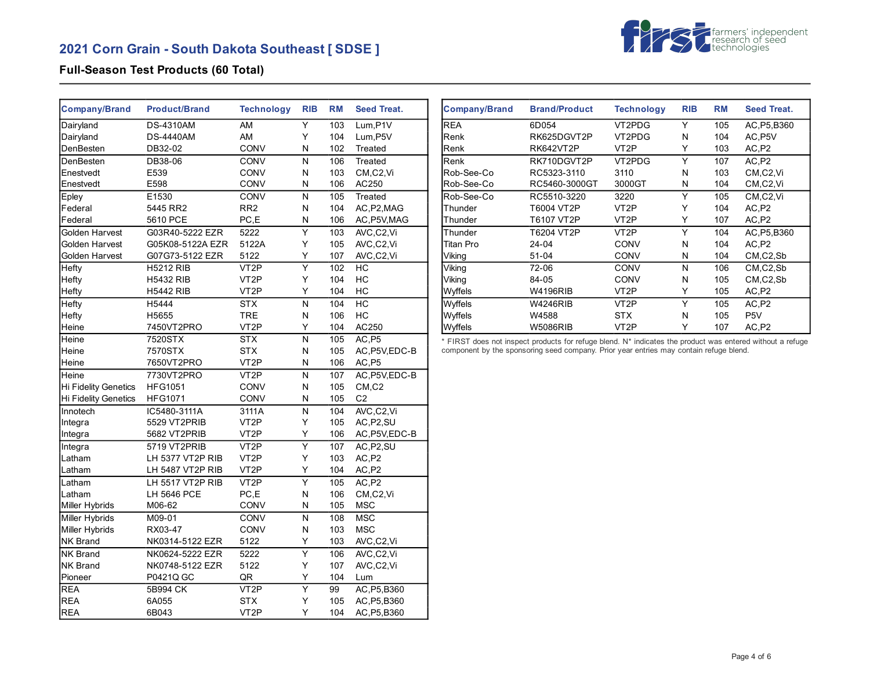# **2021 Corn Grain - South Dakota Southeast [ SDSE ]**



## **Full-Season Test Products (60 Total)**

| <b>Company/Brand</b> | <b>Product/Brand</b> | <b>Technology</b> | <b>RIB</b>              | <b>RM</b> | <b>Seed Treat.</b> |
|----------------------|----------------------|-------------------|-------------------------|-----------|--------------------|
| Dairyland            | <b>DS-4310AM</b>     | AM                | Υ                       | 103       | Lum,P1V            |
| Dairyland            | <b>DS-4440AM</b>     | AM                | Y                       | 104       | Lum, P5V           |
| DenBesten            | DB32-02              | CONV              | N                       | 102       | Treated            |
| DenBesten            | DB38-06              | CONV              | N                       | 106       | Treated            |
| Enestvedt            | E539                 | CONV              | Ν                       | 103       | CM,C2,Vi           |
| Enestvedt            | E598                 | CONV              | Ν                       | 106       | AC250              |
| Epley                | E1530                | CONV              | N                       | 105       | Treated            |
| Federal              | 5445 RR2             | RR <sub>2</sub>   | N                       | 104       | AC, P2, MAG        |
| Federal              | 5610 PCE             | PC,E              | N                       | 106       | AC, P5V, MAG       |
| Golden Harvest       | G03R40-5222 EZR      | 5222              | $\overline{\mathsf{Y}}$ | 103       | AVC,C2,Vi          |
| Golden Harvest       | G05K08-5122A EZR     | 5122A             | Υ                       | 105       | AVC,C2,Vi          |
| Golden Harvest       | G07G73-5122 EZR      | 5122              | Υ                       | 107       | AVC,C2,Vi          |
| Hefty                | <b>H5212 RIB</b>     | VT <sub>2</sub> P | $\overline{\mathsf{Y}}$ | 102       | HC                 |
| Hefty                | <b>H5432 RIB</b>     | VT2P              | Υ                       | 104       | HC                 |
| Hefty                | <b>H5442 RIB</b>     | VT <sub>2</sub> P | Υ                       | 104       | HC                 |
| Hefty                | H5444                | STX               | N                       | 104       | НC                 |
| Hefty                | H5655                | <b>TRE</b>        | N                       | 106       | HC                 |
| Heine                | 7450VT2PRO           | VT <sub>2</sub> P | Y                       | 104       | AC250              |
| Heine                | 7520STX              | <b>STX</b>        | N                       | 105       | AC,P5              |
| Heine                | 7570STX              | <b>STX</b>        | N                       | 105       | AC, P5V, EDC-B     |
| Heine                | 7650VT2PRO           | VT2P              | N                       | 106       | AC, P5             |
| Heine                | 7730VT2PRO           | VT <sub>2</sub> P | N                       | 107       | AC, P5V, EDC-B     |
| Hi Fidelity Genetics | <b>HFG1051</b>       | CONV              | N                       | 105       | CM, C2             |
| Hi Fidelity Genetics | <b>HFG1071</b>       | CONV              | N                       | 105       | C <sub>2</sub>     |
| Innotech             | IC5480-3111A         | 3111A             | N                       | 104       | AVC,C2,Vi          |
| Integra              | 5529 VT2PRIB         | VT2P              | Υ                       | 105       | AC, P2, SU         |
| Integra              | 5682 VT2PRIB         | VT <sub>2</sub> P | Y                       | 106       | AC, P5V, EDC-B     |
| Integra              | 5719 VT2PRIB         | VT <sub>2</sub> P | $\overline{\mathsf{Y}}$ | 107       | AC, P2, SU         |
| Latham               | LH 5377 VT2P RIB     | VT <sub>2</sub> P | Υ                       | 103       | AC,P2              |
| Latham               | LH 5487 VT2P RIB     | VT <sub>2</sub> P | Υ                       | 104       | AC, P2             |
| Latham               | LH 5517 VT2P RIB     | VT <sub>2</sub> P | $\overline{\mathsf{Y}}$ | 105       | AC,P2              |
| Latham               | LH 5646 PCE          | PC,E              | N                       | 106       | CM,C2,Vi           |
| Miller Hybrids       | M06-62               | CONV              | N                       | 105       | <b>MSC</b>         |
| Miller Hybrids       | M09-01               | <b>CONV</b>       | N                       | 108       | <b>MSC</b>         |
| Miller Hybrids       | RX03-47              | CONV              | N                       | 103       | <b>MSC</b>         |
| <b>NK Brand</b>      | NK0314-5122 EZR      | 5122              | Y                       | 103       | AVC,C2,Vi          |
| <b>NK Brand</b>      | NK0624-5222 EZR      | 5222              | Y                       | 106       | AVC,C2,Vi          |
| <b>NK Brand</b>      | NK0748-5122 EZR      | 5122              | Υ                       | 107       | AVC,C2,Vi          |
| Pioneer              | P0421Q GC            | QR                | Υ                       | 104       | Lum                |
| <b>REA</b>           | 5B994 CK             | VT <sub>2</sub> P | Υ                       | 99        | AC, P5, B360       |
| <b>REA</b>           | 6A055                | <b>STX</b>        | Υ                       | 105       | AC, P5, B360       |
| <b>REA</b>           | 6B043                | VT2P              | Y                       | 104       | AC, P5, B360       |

| <b>Company/Brand</b> | <b>Brand/Product</b> | <b>Technology</b> | <b>RIB</b> | <b>RM</b> | <b>Seed Treat.</b>                 |
|----------------------|----------------------|-------------------|------------|-----------|------------------------------------|
| <b>REA</b>           | 6D054                | VT2PDG            | Υ          | 105       | AC, P5, B360                       |
| Renk                 | RK625DGVT2P          | VT2PDG            | N          | 104       | AC, P5V                            |
| Renk                 | RK642VT2P            | VT <sub>2</sub> P | Y          | 103       | AC, P2                             |
| Renk                 | RK710DGVT2P          | VT2PDG            | Υ          | 107       | AC,P2                              |
| Rob-See-Co           | RC5323-3110          | 3110              | N          | 103       | CM <sub>.</sub> C <sub>2</sub> .Vi |
| Rob-See-Co           | RC5460-3000GT        | 3000GT            | N          | 104       | CM <sub>.</sub> C <sub>2</sub> .Vi |
| Rob-See-Co           | RC5510-3220          | 3220              | Υ          | 105       | CM,C2,Vi                           |
| Thunder              | T6004 VT2P           | VT <sub>2</sub> P | Y          | 104       | AC,P2                              |
| Thunder              | T6107 VT2P           | VT <sub>2</sub> P | Υ          | 107       | AC,P2                              |
| Thunder              | T6204 VT2P           | VT <sub>2</sub> P | Y          | 104       | AC, P5, B360                       |
| Titan Pro            | $24 - 04$            | CONV              | N          | 104       | AC,P2                              |
| Viking               | $51 - 04$            | <b>CONV</b>       | N          | 104       | $CM$ , $C2$ , $Sb$                 |
| Viking               | $72-06$              | <b>CONV</b>       | N          | 106       | $CM$ , $C2$ , $Sb$                 |
| Viking               | 84-05                | CONV              | N          | 105       | CM,C2,Sb                           |
| Wyffels              | W4196RIB             | VT <sub>2</sub> P | Y          | 105       | AC, P2                             |
| Wyffels              | <b>W4246RIB</b>      | VT <sub>2</sub> P | Υ          | 105       | AC,P2                              |
| Wyffels              | W4588                | <b>STX</b>        | N          | 105       | P <sub>5</sub> V                   |
| Wyffels              | <b>W5086RIB</b>      | VT <sub>2</sub> P | Y          | 107       | AC.P2                              |

\* FIRST does not inspect products for refuge blend. N\* indicates the product was entered without a refuge component by the sponsoring seed company. Prior year entries may contain refuge blend.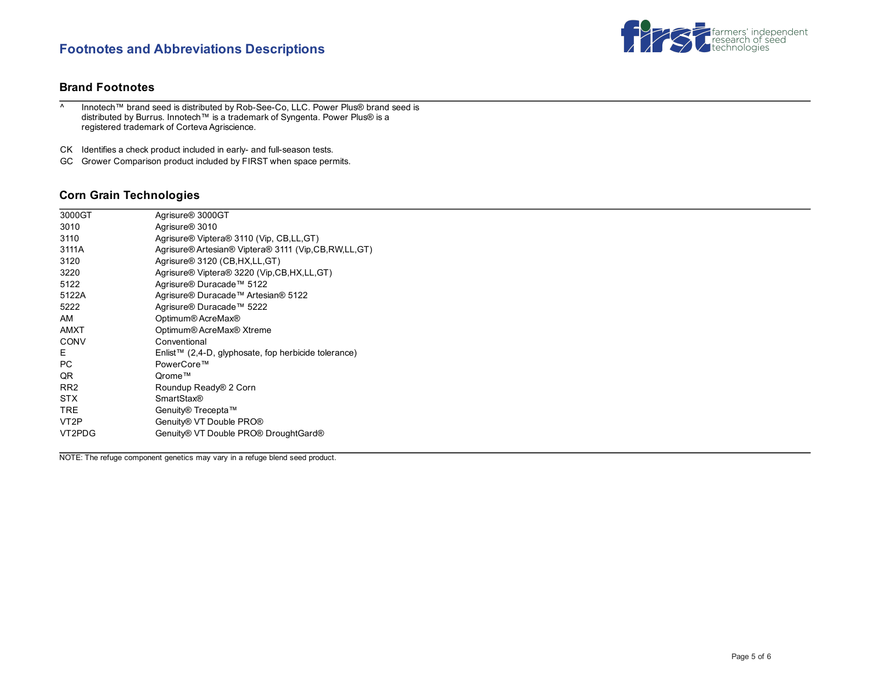# **Footnotes and Abbreviations Descriptions**



### **Brand Footnotes**

^ Innotech™ brand seed is distributed by Rob-See-Co, LLC. Power Plus® brand seed is distributed by Burrus. Innotech™ is a trademark of Syngenta. Power Plus® is a registered trademark of Corteva Agriscience.

CK Identifies a check product included in early- and full-season tests.

GC Grower Comparison product included by FIRST when space permits.

### **Corn Grain Technologies**

| 3010<br>Agrisure <sup>®</sup> 3010<br>Agrisure® Viptera® 3110 (Vip, CB,LL,GT)<br>3110<br>Agrisure® Artesian® Viptera® 3111 (Vip,CB,RW,LL,GT)<br>3111A |  |
|-------------------------------------------------------------------------------------------------------------------------------------------------------|--|
|                                                                                                                                                       |  |
|                                                                                                                                                       |  |
|                                                                                                                                                       |  |
| Agrisure® 3120 (CB, HX, LL, GT)<br>3120                                                                                                               |  |
| Agrisure <sup>®</sup> Viptera <sup>®</sup> 3220 (Vip,CB,HX,LL,GT)<br>3220                                                                             |  |
| Agrisure® Duracade™ 5122<br>5122                                                                                                                      |  |
| Agrisure® Duracade™ Artesian® 5122<br>5122A                                                                                                           |  |
| Agrisure® Duracade™ 5222<br>5222                                                                                                                      |  |
| AM<br>Optimum® AcreMax®                                                                                                                               |  |
| Optimum® AcreMax® Xtreme<br>AMXT                                                                                                                      |  |
| <b>CONV</b><br>Conventional                                                                                                                           |  |
| E.<br>Enlist™ (2,4-D, glyphosate, fop herbicide tolerance)                                                                                            |  |
| <b>PC</b><br>PowerCore™                                                                                                                               |  |
| QR<br>Qrome™                                                                                                                                          |  |
| RR <sub>2</sub><br>Roundup Ready® 2 Corn                                                                                                              |  |
| <b>STX</b><br><b>SmartStax®</b>                                                                                                                       |  |
| TRE.<br>Genuity® Trecepta™                                                                                                                            |  |
| Genuity® VT Double PRO®<br>VT <sub>2</sub> P                                                                                                          |  |
| VT2PDG<br>Genuity® VT Double PRO® DroughtGard®                                                                                                        |  |

NOTE: The refuge component genetics may vary in a refuge blend seed product.